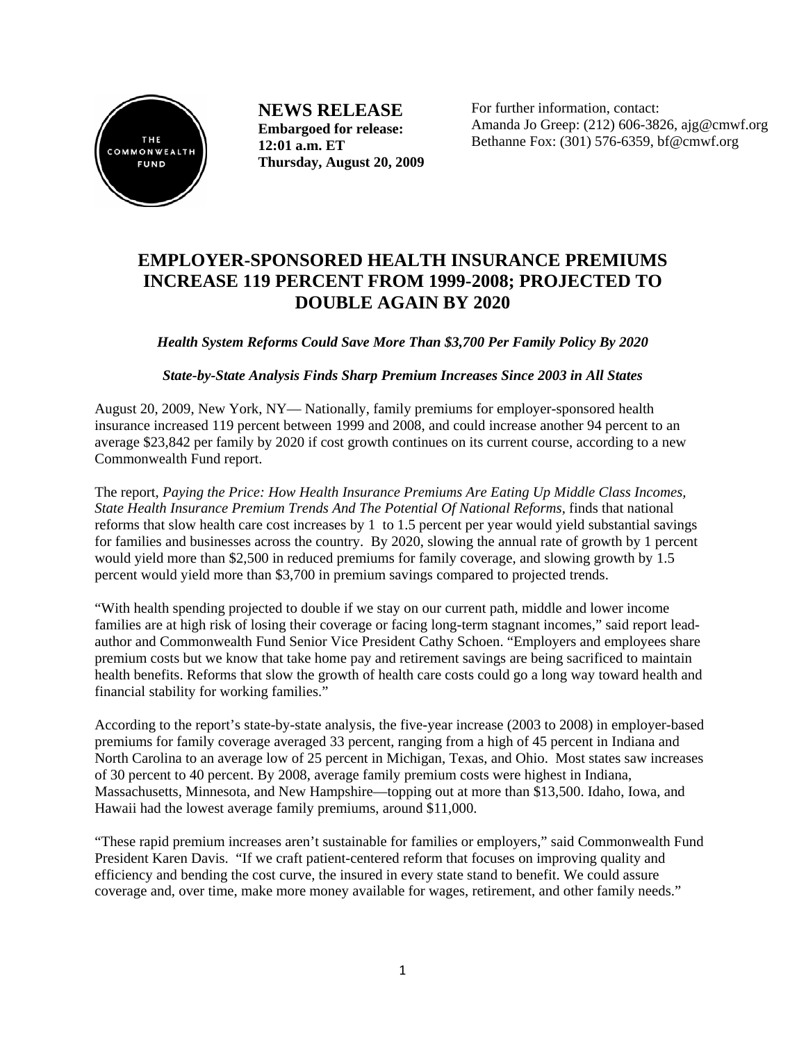

**NEWS RELEASE Embargoed for release: 12:01 a.m. ET Thursday, August 20, 2009**  For further information, contact: Amanda Jo Greep: (212) 606-3826, ajg@cmwf.org Bethanne Fox: (301) 576-6359, bf@cmwf.org

# **EMPLOYER-SPONSORED HEALTH INSURANCE PREMIUMS INCREASE 119 PERCENT FROM 1999-2008; PROJECTED TO DOUBLE AGAIN BY 2020**

# *Health System Reforms Could Save More Than \$3,700 Per Family Policy By 2020*

# *State-by-State Analysis Finds Sharp Premium Increases Since 2003 in All States*

August 20, 2009, New York, NY— Nationally, family premiums for employer-sponsored health insurance increased 119 percent between 1999 and 2008, and could increase another 94 percent to an average \$23,842 per family by 2020 if cost growth continues on its current course, according to a new Commonwealth Fund report.

The report, *Paying the Price: How Health Insurance Premiums Are Eating Up Middle Class Incomes, State Health Insurance Premium Trends And The Potential Of National Reforms,* finds that national reforms that slow health care cost increases by 1 to 1.5 percent per year would yield substantial savings for families and businesses across the country. By 2020, slowing the annual rate of growth by 1 percent would yield more than \$2,500 in reduced premiums for family coverage, and slowing growth by 1.5 percent would yield more than \$3,700 in premium savings compared to projected trends.

"With health spending projected to double if we stay on our current path, middle and lower income families are at high risk of losing their coverage or facing long-term stagnant incomes," said report leadauthor and Commonwealth Fund Senior Vice President Cathy Schoen. "Employers and employees share premium costs but we know that take home pay and retirement savings are being sacrificed to maintain health benefits. Reforms that slow the growth of health care costs could go a long way toward health and financial stability for working families."

According to the report's state-by-state analysis, the five-year increase (2003 to 2008) in employer-based premiums for family coverage averaged 33 percent, ranging from a high of 45 percent in Indiana and North Carolina to an average low of 25 percent in Michigan, Texas, and Ohio. Most states saw increases of 30 percent to 40 percent. By 2008, average family premium costs were highest in Indiana, Massachusetts, Minnesota, and New Hampshire—topping out at more than \$13,500. Idaho, Iowa, and Hawaii had the lowest average family premiums, around \$11,000.

"These rapid premium increases aren't sustainable for families or employers," said Commonwealth Fund President Karen Davis. "If we craft patient-centered reform that focuses on improving quality and efficiency and bending the cost curve, the insured in every state stand to benefit. We could assure coverage and, over time, make more money available for wages, retirement, and other family needs."